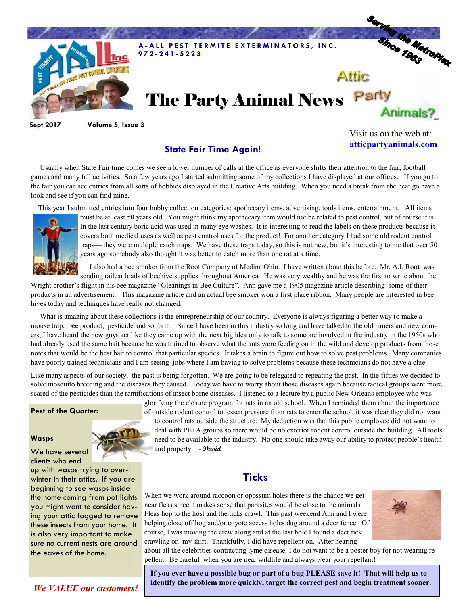

**Sept 2017 Volume 5, Issue 3**

### **State Fair Time Again!**

Visit us on the web at: **atticpartyanimals.com**

 Usually when State Fair time comes we see a lower number of calls at the office as everyone shifts their attention to the fair, football games and many fall activities. So a few years ago I started submitting some of my collections I have displayed at our offices. If you go to the fair you can see entries from all sorts of hobbies displayed in the Creative Arts building. When you need a break from the heat go have a look and see if you can find mine.

This year I submitted entries into four hobby collection categories: apothecary items, advertising, tools items, entertainment. All items



must be at least 50 years old. You might think my apothecary item would not be related to pest control, but of course it is. In the last century boric acid was used in many eye washes. It is interesting to read the labels on these products because it covers both medical uses as well as pest control uses for the product! For another category I had some old rodent control traps— they were multiple catch traps. We have these traps today, so this is not new, but it's interesting to me that over 50 years ago somebody also thought it was better to catch more than one rat at a time.

 I also had a bee smoker from the Root Company of Medina Ohio. I have written about this before. Mr. A.I. Root was sending railcar loads of beehive supplies throughout America. He was very wealthy and he was the first to write about the

Wright brother's flight in his bee magazine "Gleanings in Bee Culture". Ann gave me a 1905 magazine article describing some of their products in an advertisement. This magazine article and an actual bee smoker won a first place ribbon. Many people are interested in bee hives today and techniques have really not changed.

 What is amazing about these collections is the entrepreneurship of our country. Everyone is always figuring a better way to make a mouse trap, bee product, pesticide and so forth. Since I have been in this industry so long and have talked to the old timers and new comers, I have heard the new guys act like they came up with the next big idea only to talk to someone involved in the industry in the 1950s who had already used the same bait because he was trained to observe what the ants were feeding on in the wild and develop products from those notes that would be the best bait to control that particular species. It takes a brain to figure out how to solve pest problems. Many companies have poorly trained technicians and I am seeing jobs where I am having to solve problems because these technicians do not have a clue.

Like many aspects of our society, the past is being forgotten. We are going to be relegated to repeating the past. In the fifties we decided to solve mosquito breeding and the diseases they caused. Today we have to worry about those diseases again because radical groups were more scared of the pesticides than the ramifications of insect borne diseases. I listened to a lecture by a public New Orleans employee who was

#### **Pest of the Quarter:**

#### **Wasps**

We have several clients who end

up with wasps trying to overwinter in their attics. If you are beginning to see wasps inside the home coming from pot lights you might want to consider having your attic fogged to remove these insects from your home. It is also very important to make sure no current nests are around the eaves of the home.

glorifying the closure program for rats in an old school. When I reminded them about the importance of outside rodent control to lessen pressure from rats to enter the school, it was clear they did not want to control rats outside the structure. My deduction was that this public employee did not want to deal with PETA groups so there would be no exterior rodent control outside the building. All tools need to be available to the industry. No one should take away our ability to protect people's health and property. - **David**

## **Ticks**

When we work around raccoon or opossum holes there is the chance we get near fleas since it makes sense that parasites would be close to the animals. Fleas hop to the host and the ticks crawl. This past weekend Ann and I were helping close off hog and/or coyote access holes dug around a deer fence. Of course, I was moving the crew along and at the last hole I found a deer tick crawling on my shirt. Thankfully, I did have repellent on. After hearing



about all the celebrities contracting lyme disease, I do not want to be a poster boy for not wearing repellent. Be careful when you are near wildlife and always wear your repellant!

**If you ever have a possible bug or part of a bug PLEASE save it! That will help us to identify the problem more quickly, target the correct pest and begin treatment sooner.** 

*We VALUE our customers!*